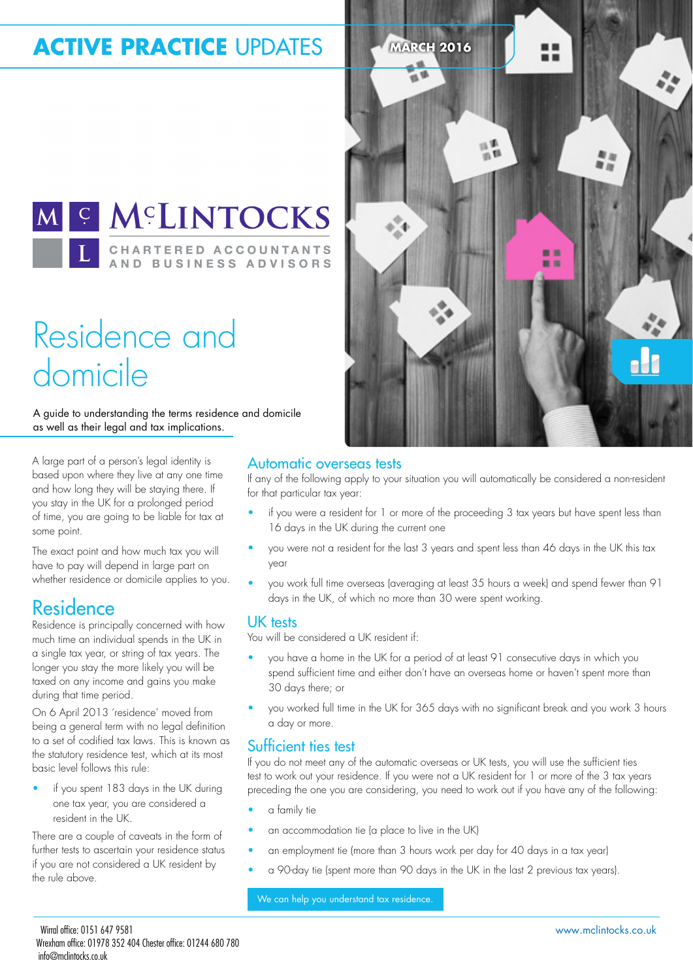## **ACTIVE PRACTICE UPDATES** MARCH 2016

M & MCLINTOCKS **CHARTERED ACCOUNTANTS** AND BUSINESS ADVISORS

## Residence and domicile

A guide to understanding the terms residence and domicile as well as their legal and tax implications.

A large part of a person's legal identity is based upon where they live at any one time and how long they will be staying there. If you stay in the UK for a prolonged period of time, you are going to be liable for tax at some point.

The exact point and how much tax you will have to pay will depend in large part on whether residence or domicile applies to you.

### Residence

Residence is principally concerned with how much time an individual spends in the UK in a single tax year, or string of tax years. The longer you stay the more likely you will be taxed on any income and gains you make during that time period.

On 6 April 2013 'residence' moved from being a general term with no legal definition to a set of codified tax laws. This is known as the statutory residence test, which at its most basic level follows this rule:

• if you spent 183 days in the UK during one tax year, you are considered a resident in the UK.

There are a couple of caveats in the form of further tests to ascertain your residence status if you are not considered a UK resident by the rule above.



### Automatic overseas tests

If any of the following apply to your situation you will automatically be considered a non-resident for that particular tax year:

- if you were a resident for 1 or more of the proceeding 3 tax years but have spent less than 16 days in the UK during the current one
- you were not a resident for the last 3 years and spent less than 46 days in the UK this tax year
- you work full time overseas (averaging at least 35 hours a week) and spend fewer than 91 days in the UK, of which no more than 30 were spent working.

### UK tests

You will be considered a UK resident if:

- you have a home in the UK for a period of at least 91 consecutive days in which you spend suficient time and either don't have an overseas home or haven't spent more than 30 days there; or
- you worked full time in the UK for 365 days with no signiicant break and you work 3 hours a day or more.

### Suficient ties test

If you do not meet any of the automatic overseas or UK tests, you will use the suficient ties test to work out your residence. If you were not a UK resident for 1 or more of the 3 tax years preceding the one you are considering, you need to work out if you have any of the following:

- a family tie
- an accommodation tie (a place to live in the UK)
- an employment tie (more than 3 hours work per day for 40 days in a tax year)
- a 90-day tie (spent more than 90 days in the UK in the last 2 previous tax years).

We can help you understand tax residence.